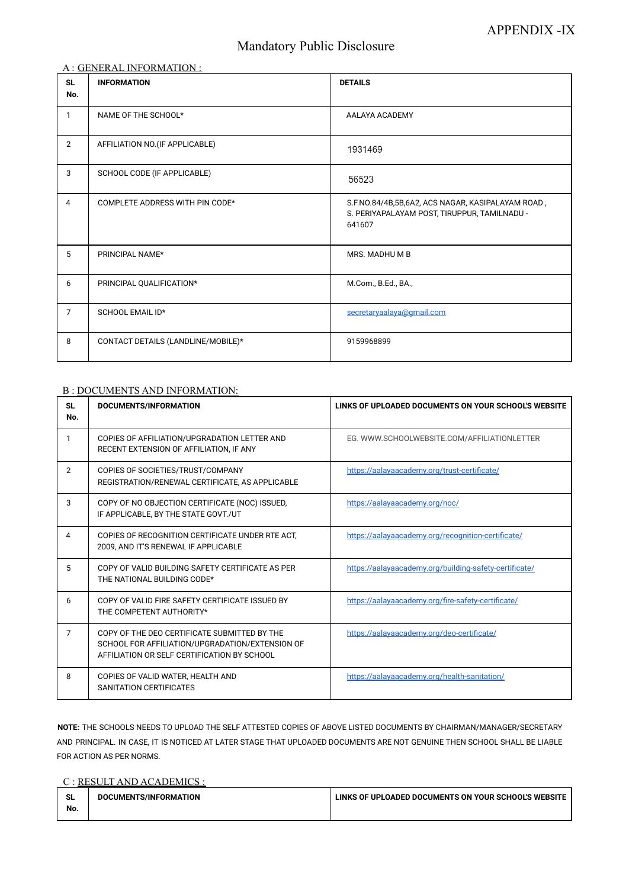# Mandatory Public Disclosure

### A : GENERAL INFORMATION :

| <b>SL</b><br>No. | <b>INFORMATION</b>                 | <b>DETAILS</b>                                                                                              |
|------------------|------------------------------------|-------------------------------------------------------------------------------------------------------------|
| 1                | NAME OF THE SCHOOL*                | AALAYA ACADEMY                                                                                              |
| $\overline{2}$   | AFFILIATION NO. (IF APPLICABLE)    | 1931469                                                                                                     |
| $\mathbf{3}$     | SCHOOL CODE (IF APPLICABLE)        | 56523                                                                                                       |
| $\overline{4}$   | COMPLETE ADDRESS WITH PIN CODE*    | S.F.NO.84/4B,5B,6A2, ACS NAGAR, KASIPALAYAM ROAD,<br>S. PERIYAPALAYAM POST, TIRUPPUR, TAMILNADU -<br>641607 |
| 5                | PRINCIPAL NAME*                    | MRS. MADHU M B                                                                                              |
| 6                | PRINCIPAL QUALIFICATION*           | M.Com., B.Ed., BA.,                                                                                         |
| $\overline{7}$   | SCHOOL EMAIL ID*                   | secretaryaalaya@qmail.com                                                                                   |
| 8                | CONTACT DETAILS (LANDLINE/MOBILE)* | 9159968899                                                                                                  |

### B : DOCUMENTS AND INFORMATION:

| <b>SL</b><br>No. | <b>DOCUMENTS/INFORMATION</b>                                                                                                                   | LINKS OF UPLOADED DOCUMENTS ON YOUR SCHOOL'S WEBSITE   |  |
|------------------|------------------------------------------------------------------------------------------------------------------------------------------------|--------------------------------------------------------|--|
| 1                | COPIES OF AFFILIATION/UPGRADATION LETTER AND<br>RECENT EXTENSION OF AFFILIATION, IF ANY                                                        | EG. WWW.SCHOOLWEBSITE.COM/AFFILIATIONLETTER            |  |
| $\overline{2}$   | COPIES OF SOCIETIES/TRUST/COMPANY<br>REGISTRATION/RENEWAL CERTIFICATE, AS APPLICABLE                                                           | https://aalayaacademy.org/trust-certificate/           |  |
| 3                | COPY OF NO OBJECTION CERTIFICATE (NOC) ISSUED,<br>IF APPLICABLE, BY THE STATE GOVT./UT                                                         | https://aalayaacademy.org/noc/                         |  |
| 4                | COPIES OF RECOGNITION CERTIFICATE UNDER RTE ACT,<br>2009, AND IT'S RENEWAL IF APPLICABLE                                                       | https://aalayaacademy.org/recognition-certificate/     |  |
| 5                | COPY OF VALID BUILDING SAFETY CERTIFICATE AS PER<br>THE NATIONAL BUILDING CODE*                                                                | https://aalayaacademy.org/building-safety-certificate/ |  |
| 6                | COPY OF VALID FIRE SAFETY CERTIFICATE ISSUED BY<br>THE COMPETENT AUTHORITY*                                                                    | https://aalayaacademy.org/fire-safety-certificate/     |  |
| 7                | COPY OF THE DEO CERTIFICATE SUBMITTED BY THE<br>SCHOOL FOR AFFILIATION/UPGRADATION/EXTENSION OF<br>AFFILIATION OR SELF CERTIFICATION BY SCHOOL | https://aalayaacademy.org/deo-certificate/             |  |

<https://aalayaacademy.org/health-sanitation/>

### **NOTE:** THE SCHOOLS NEEDS TO UPLOAD THE SELF ATTESTED COPIES OF ABOVE LISTED DOCUMENTS BY CHAIRMAN/MANAGER/SECRETARY AND PRINCIPAL. IN CASE, IT IS NOTICED AT LATER STAGE THAT UPLOADED DOCUMENTS ARE NOT GENUINE THEN SCHOOL SHALL BE LIABLE FOR ACTION AS PER NORMS.

#### C : RESULT AND ACADEMICS :

| <b>SL</b> | DOCUMENTS/INFORMATION | LINKS OF UPLOADED DOCUMENTS ON YOUR SCHOOL'S WEBSITE |
|-----------|-----------------------|------------------------------------------------------|
| No.       |                       |                                                      |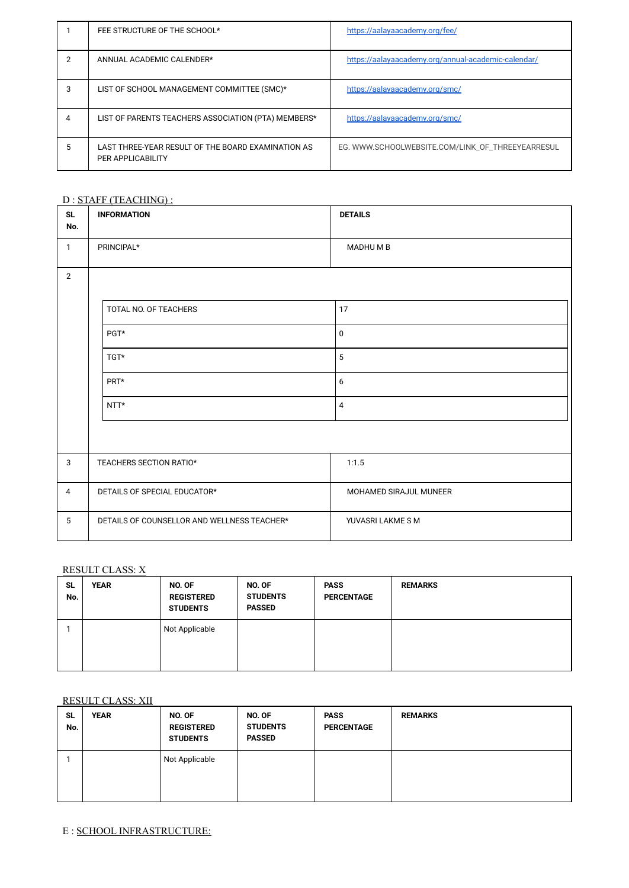|   | FEE STRUCTURE OF THE SCHOOL*                                                   | https://aalayaacademy.org/fee/                      |
|---|--------------------------------------------------------------------------------|-----------------------------------------------------|
| 2 | ANNUAL ACADEMIC CALENDER*                                                      | https://aalayaacademy.org/annual-academic-calendar/ |
| 3 | LIST OF SCHOOL MANAGEMENT COMMITTEE (SMC)*                                     | https://aalayaacademy.org/smc/                      |
| 4 | LIST OF PARENTS TEACHERS ASSOCIATION (PTA) MEMBERS*                            | https://aalayaacademy.org/smc/                      |
| 5 | LAST THREE-YEAR RESULT OF THE BOARD EXAMINATION AS<br><b>PER APPLICABILITY</b> | EG. WWW.SCHOOLWEBSITE.COM/LINK_OF_THREEYEARRESUL    |

# D : STAFF (TEACHING) :

| <b>SL</b><br>No. | <b>INFORMATION</b>                          | <b>DETAILS</b>         |
|------------------|---------------------------------------------|------------------------|
| $\mathbf{1}$     | PRINCIPAL*                                  | MADHUMB                |
| $\overline{2}$   |                                             |                        |
|                  | TOTAL NO. OF TEACHERS                       | 17                     |
|                  | PGT*                                        | $\mathbf 0$            |
| TGT*             |                                             | 5                      |
|                  | PRT*                                        | $6\,$                  |
| $NTT*$           |                                             | $\overline{4}$         |
|                  |                                             |                        |
| $\mathbf{3}$     | TEACHERS SECTION RATIO*                     | 1:1.5                  |
| $\overline{4}$   | DETAILS OF SPECIAL EDUCATOR*                | MOHAMED SIRAJUL MUNEER |
| $5\phantom{.0}$  | DETAILS OF COUNSELLOR AND WELLNESS TEACHER* | YUVASRI LAKME S M      |

# RESULT CLASS: X

| <b>SL</b><br>No. | <b>YEAR</b> | NO. OF<br><b>REGISTERED</b><br><b>STUDENTS</b> | NO. OF<br><b>STUDENTS</b><br><b>PASSED</b> | <b>PASS</b><br><b>PERCENTAGE</b> | <b>REMARKS</b> |
|------------------|-------------|------------------------------------------------|--------------------------------------------|----------------------------------|----------------|
|                  |             | Not Applicable                                 |                                            |                                  |                |

|                  | <b>RESULT CLASS: XII</b> |                                                |                                            |                                  |                |  |
|------------------|--------------------------|------------------------------------------------|--------------------------------------------|----------------------------------|----------------|--|
| <b>SL</b><br>No. | <b>YEAR</b>              | NO. OF<br><b>REGISTERED</b><br><b>STUDENTS</b> | NO. OF<br><b>STUDENTS</b><br><b>PASSED</b> | <b>PASS</b><br><b>PERCENTAGE</b> | <b>REMARKS</b> |  |
|                  |                          | Not Applicable                                 |                                            |                                  |                |  |

E : SCHOOL INFRASTRUCTURE: